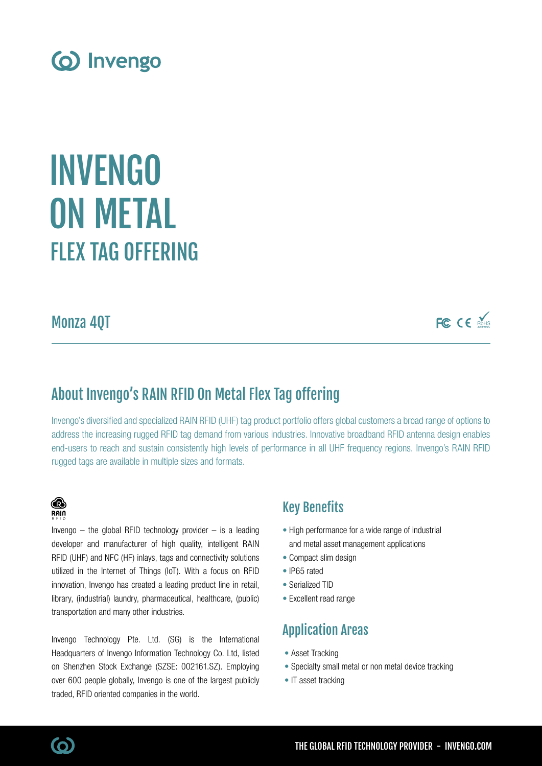

# FIFX TAG OFFFRING INVENGO **ON METAL**

Monza 4QT

FC CE MARIS

# About Invengo's RAIN RFID On Metal Flex Tag offering

Invengo's diversified and specialized RAIN RFID (UHF) tag product portfolio offers global customers a broad range of options to address the increasing rugged RFID tag demand from various industries. Innovative broadband RFID antenna design enables end-users to reach and sustain consistently high levels of performance in all UHF frequency regions. Invengo's RAIN RFID rugged tags are available in multiple sizes and formats.



Invengo  $-$  the global RFID technology provider  $-$  is a leading developer and manufacturer of high quality, intelligent RAIN RFID (UHF) and NFC (HF) inlays, tags and connectivity solutions utilized in the Internet of Things (IoT). With a focus on RFID innovation, Invengo has created a leading product line in retail, library, (industrial) laundry, pharmaceutical, healthcare, (public) transportation and many other industries.

Invengo Technology Pte. Ltd. (SG) is the International Headquarters of Invengo Information Technology Co. Ltd, listed on Shenzhen Stock Exchange (SZSE: 002161.SZ). Employing over 600 people globally, Invengo is one of the largest publicly traded, RFID oriented companies in the world.

### Key Benefits

- High performance for a wide range of industrial and metal asset management applications
- Compact slim design
- IP65 rated
- Serialized TID
- Excellent read range

## Application Areas

- Asset Tracking
- Specialty small metal or non metal device tracking
- IT asset tracking